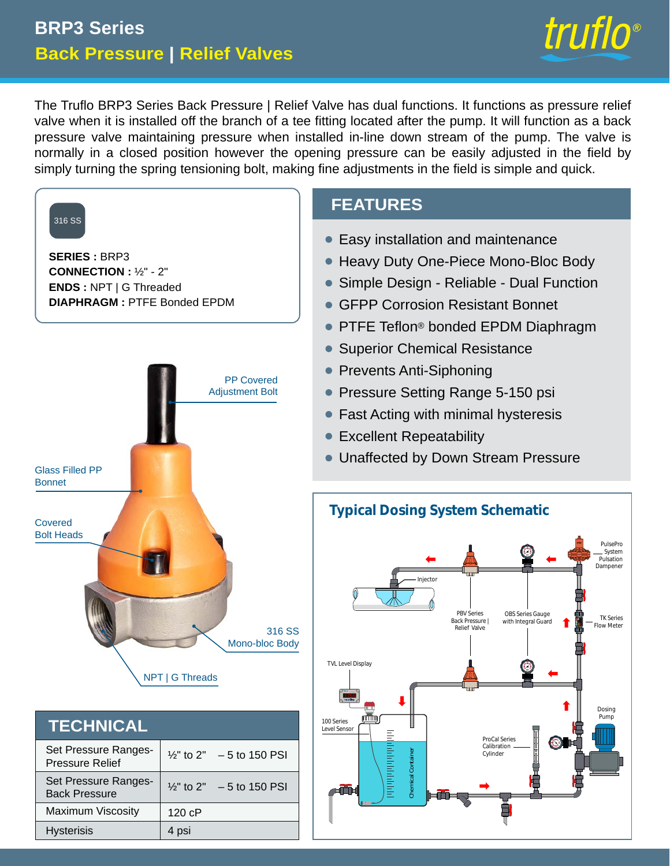# **Back Pressure | Relief Valves BRP3 Series**



The Truflo BRP3 Series Back Pressure | Relief Valve has dual functions. It functions as pressure relief valve when it is installed off the branch of a tee fitting located after the pump. It will function as a back pressure valve maintaining pressure when installed in-line down stream of the pump. The valve is normally in a closed position however the opening pressure can be easily adjusted in the field by simply turning the spring tensioning bolt, making fine adjustments in the field is simple and quick.